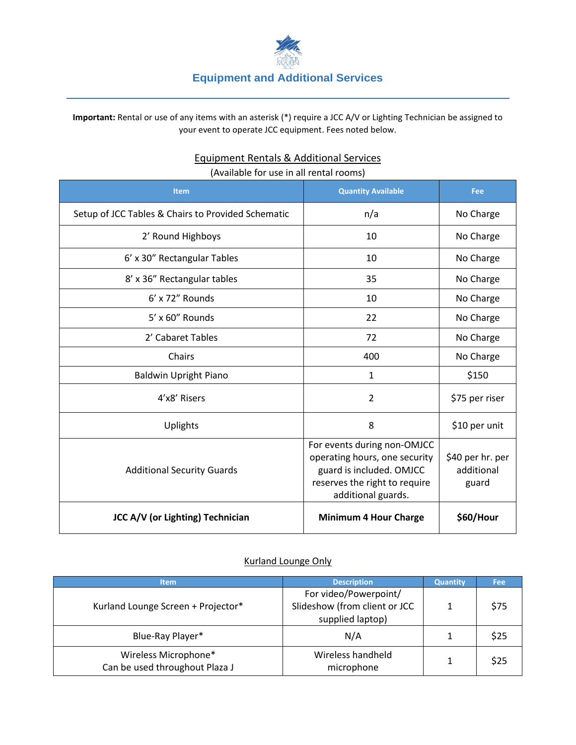

**Important:** Rental or use of any items with an asterisk (\*) require a JCC A/V or Lighting Technician be assigned to your event to operate JCC equipment. Fees noted below.

| (Available for use in all rental rooms)            |                                                                                                                                                 |                                         |  |  |  |
|----------------------------------------------------|-------------------------------------------------------------------------------------------------------------------------------------------------|-----------------------------------------|--|--|--|
| <b>Item</b>                                        | <b>Quantity Available</b>                                                                                                                       | Fee                                     |  |  |  |
| Setup of JCC Tables & Chairs to Provided Schematic | n/a                                                                                                                                             | No Charge                               |  |  |  |
| 2' Round Highboys                                  | 10                                                                                                                                              | No Charge                               |  |  |  |
| 6' x 30" Rectangular Tables                        | 10                                                                                                                                              | No Charge                               |  |  |  |
| 8' x 36" Rectangular tables                        | 35                                                                                                                                              | No Charge                               |  |  |  |
| 6' x 72" Rounds                                    | 10                                                                                                                                              | No Charge                               |  |  |  |
| $5'$ x 60" Rounds                                  | 22                                                                                                                                              | No Charge                               |  |  |  |
| 2' Cabaret Tables                                  | 72                                                                                                                                              | No Charge                               |  |  |  |
| Chairs                                             | 400                                                                                                                                             | No Charge                               |  |  |  |
| <b>Baldwin Upright Piano</b>                       | $\mathbf{1}$                                                                                                                                    | \$150                                   |  |  |  |
| 4'x8' Risers                                       | $\overline{2}$                                                                                                                                  | \$75 per riser                          |  |  |  |
| Uplights                                           | 8                                                                                                                                               | \$10 per unit                           |  |  |  |
| <b>Additional Security Guards</b>                  | For events during non-OMJCC<br>operating hours, one security<br>guard is included. OMJCC<br>reserves the right to require<br>additional guards. | \$40 per hr. per<br>additional<br>guard |  |  |  |
| <b>JCC A/V (or Lighting) Technician</b>            | <b>Minimum 4 Hour Charge</b>                                                                                                                    | \$60/Hour                               |  |  |  |

## Equipment Rentals & Additional Services (Available for use in all rental rooms)

## Kurland Lounge Only

| <b>Item</b>                                            | <b>Description</b>                                                         | <b>Quantity</b> | <b>Fee</b> |
|--------------------------------------------------------|----------------------------------------------------------------------------|-----------------|------------|
| Kurland Lounge Screen + Projector*                     | For video/Powerpoint/<br>Slideshow (from client or JCC<br>supplied laptop) |                 | \$75       |
| Blue-Ray Player*                                       | N/A                                                                        |                 | \$25       |
| Wireless Microphone*<br>Can be used throughout Plaza J | Wireless handheld<br>microphone                                            |                 | \$25       |